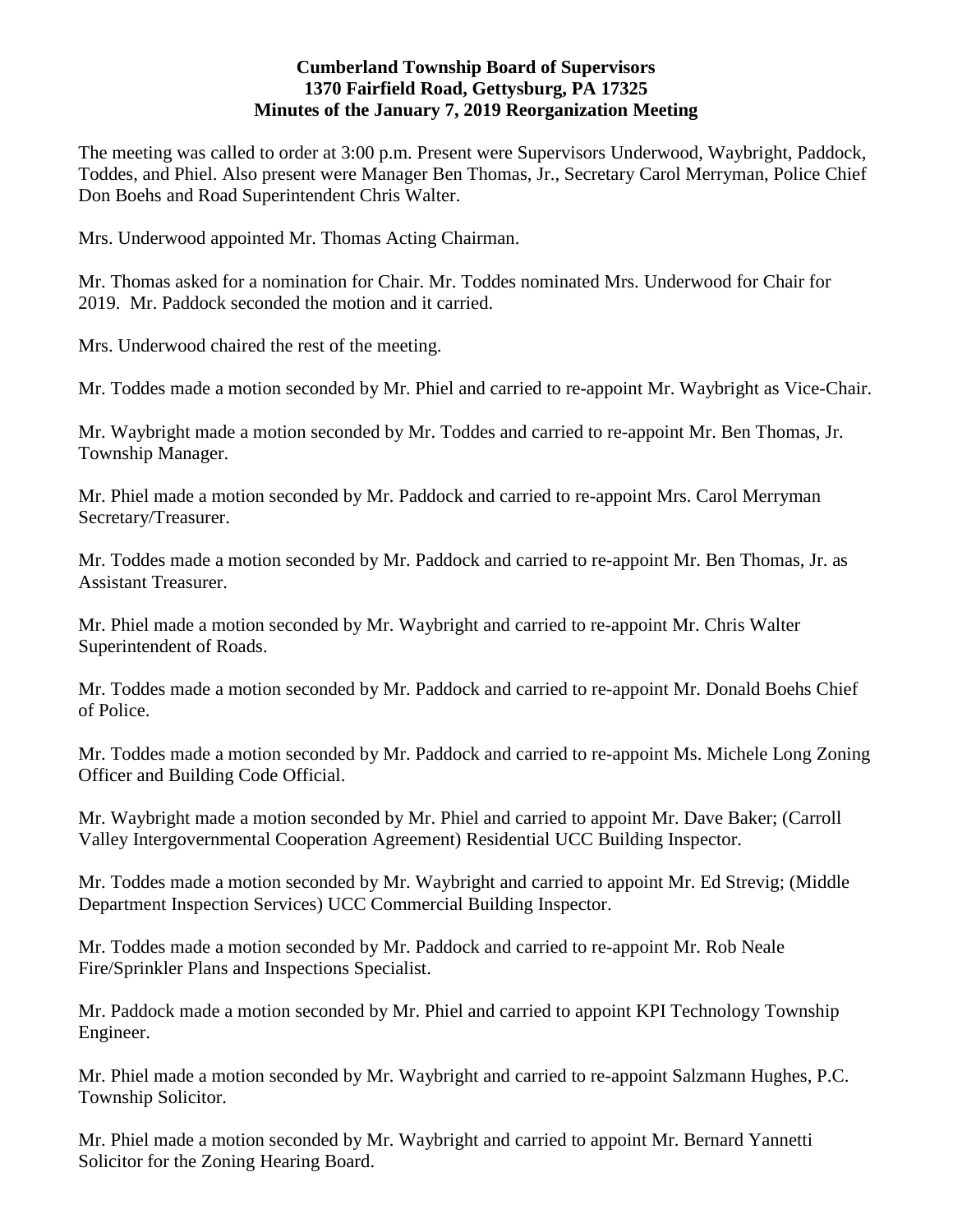### **Cumberland Township Board of Supervisors 1370 Fairfield Road, Gettysburg, PA 17325 Minutes of the January 7, 2019 Reorganization Meeting**

The meeting was called to order at 3:00 p.m. Present were Supervisors Underwood, Waybright, Paddock, Toddes, and Phiel. Also present were Manager Ben Thomas, Jr., Secretary Carol Merryman, Police Chief Don Boehs and Road Superintendent Chris Walter.

Mrs. Underwood appointed Mr. Thomas Acting Chairman.

Mr. Thomas asked for a nomination for Chair. Mr. Toddes nominated Mrs. Underwood for Chair for 2019. Mr. Paddock seconded the motion and it carried.

Mrs. Underwood chaired the rest of the meeting.

Mr. Toddes made a motion seconded by Mr. Phiel and carried to re-appoint Mr. Waybright as Vice-Chair.

Mr. Waybright made a motion seconded by Mr. Toddes and carried to re-appoint Mr. Ben Thomas, Jr. Township Manager.

Mr. Phiel made a motion seconded by Mr. Paddock and carried to re-appoint Mrs. Carol Merryman Secretary/Treasurer.

Mr. Toddes made a motion seconded by Mr. Paddock and carried to re-appoint Mr. Ben Thomas, Jr. as Assistant Treasurer.

Mr. Phiel made a motion seconded by Mr. Waybright and carried to re-appoint Mr. Chris Walter Superintendent of Roads.

Mr. Toddes made a motion seconded by Mr. Paddock and carried to re-appoint Mr. Donald Boehs Chief of Police.

Mr. Toddes made a motion seconded by Mr. Paddock and carried to re-appoint Ms. Michele Long Zoning Officer and Building Code Official.

Mr. Waybright made a motion seconded by Mr. Phiel and carried to appoint Mr. Dave Baker; (Carroll Valley Intergovernmental Cooperation Agreement) Residential UCC Building Inspector.

Mr. Toddes made a motion seconded by Mr. Waybright and carried to appoint Mr. Ed Strevig; (Middle Department Inspection Services) UCC Commercial Building Inspector.

Mr. Toddes made a motion seconded by Mr. Paddock and carried to re-appoint Mr. Rob Neale Fire/Sprinkler Plans and Inspections Specialist.

Mr. Paddock made a motion seconded by Mr. Phiel and carried to appoint KPI Technology Township Engineer.

Mr. Phiel made a motion seconded by Mr. Waybright and carried to re-appoint Salzmann Hughes, P.C. Township Solicitor.

Mr. Phiel made a motion seconded by Mr. Waybright and carried to appoint Mr. Bernard Yannetti Solicitor for the Zoning Hearing Board.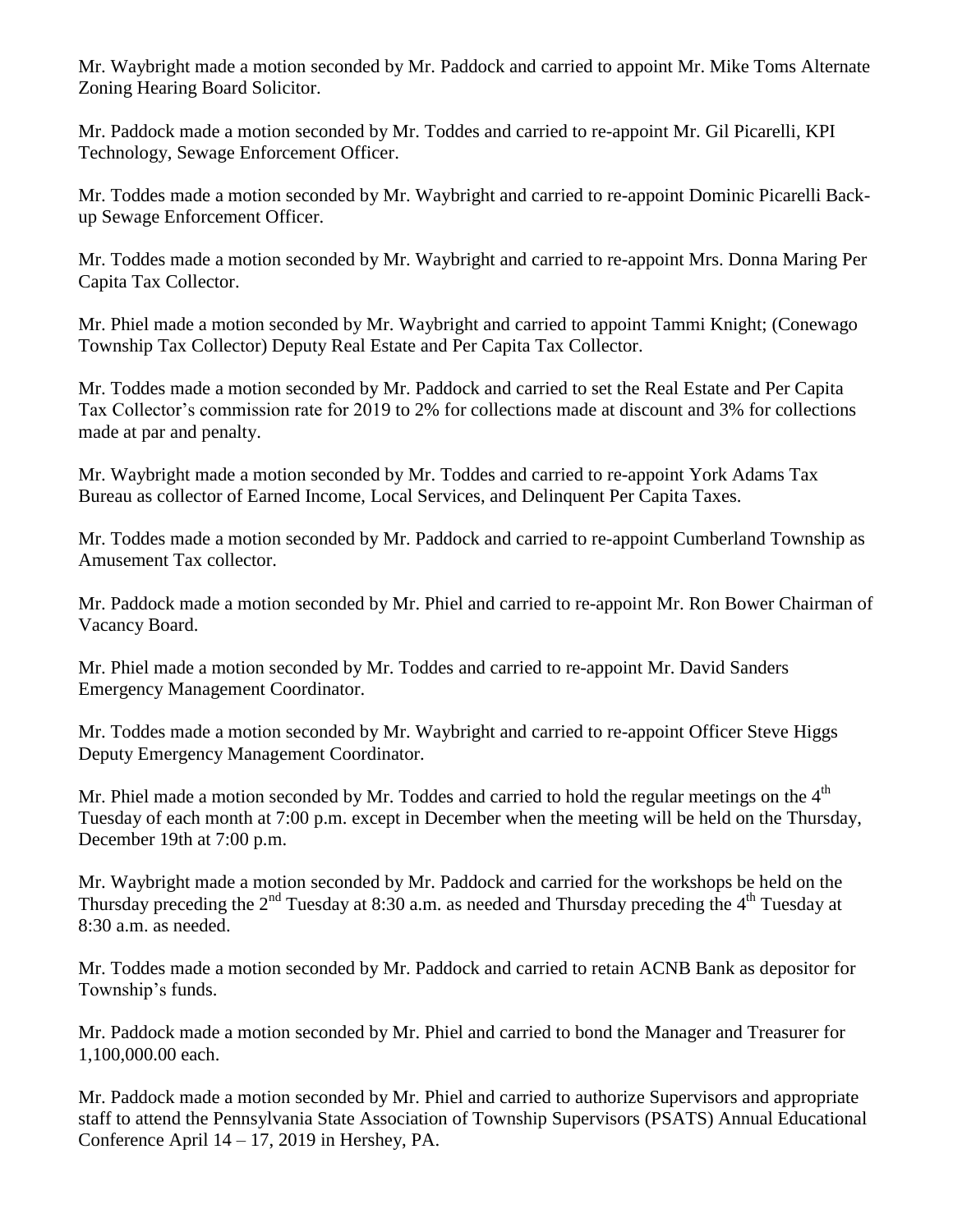Mr. Waybright made a motion seconded by Mr. Paddock and carried to appoint Mr. Mike Toms Alternate Zoning Hearing Board Solicitor.

Mr. Paddock made a motion seconded by Mr. Toddes and carried to re-appoint Mr. Gil Picarelli, KPI Technology, Sewage Enforcement Officer.

Mr. Toddes made a motion seconded by Mr. Waybright and carried to re-appoint Dominic Picarelli Backup Sewage Enforcement Officer.

Mr. Toddes made a motion seconded by Mr. Waybright and carried to re-appoint Mrs. Donna Maring Per Capita Tax Collector.

Mr. Phiel made a motion seconded by Mr. Waybright and carried to appoint Tammi Knight; (Conewago Township Tax Collector) Deputy Real Estate and Per Capita Tax Collector.

Mr. Toddes made a motion seconded by Mr. Paddock and carried to set the Real Estate and Per Capita Tax Collector's commission rate for 2019 to 2% for collections made at discount and 3% for collections made at par and penalty.

Mr. Waybright made a motion seconded by Mr. Toddes and carried to re-appoint York Adams Tax Bureau as collector of Earned Income, Local Services, and Delinquent Per Capita Taxes.

Mr. Toddes made a motion seconded by Mr. Paddock and carried to re-appoint Cumberland Township as Amusement Tax collector.

Mr. Paddock made a motion seconded by Mr. Phiel and carried to re-appoint Mr. Ron Bower Chairman of Vacancy Board.

Mr. Phiel made a motion seconded by Mr. Toddes and carried to re-appoint Mr. David Sanders Emergency Management Coordinator.

Mr. Toddes made a motion seconded by Mr. Waybright and carried to re-appoint Officer Steve Higgs Deputy Emergency Management Coordinator.

Mr. Phiel made a motion seconded by Mr. Toddes and carried to hold the regular meetings on the  $4<sup>th</sup>$ Tuesday of each month at 7:00 p.m. except in December when the meeting will be held on the Thursday, December 19th at 7:00 p.m.

Mr. Waybright made a motion seconded by Mr. Paddock and carried for the workshops be held on the Thursday preceding the  $2<sup>nd</sup>$  Tuesday at 8:30 a.m. as needed and Thursday preceding the 4<sup>th</sup> Tuesday at 8:30 a.m. as needed.

Mr. Toddes made a motion seconded by Mr. Paddock and carried to retain ACNB Bank as depositor for Township's funds.

Mr. Paddock made a motion seconded by Mr. Phiel and carried to bond the Manager and Treasurer for 1,100,000.00 each.

Mr. Paddock made a motion seconded by Mr. Phiel and carried to authorize Supervisors and appropriate staff to attend the Pennsylvania State Association of Township Supervisors (PSATS) Annual Educational Conference April 14 – 17, 2019 in Hershey, PA.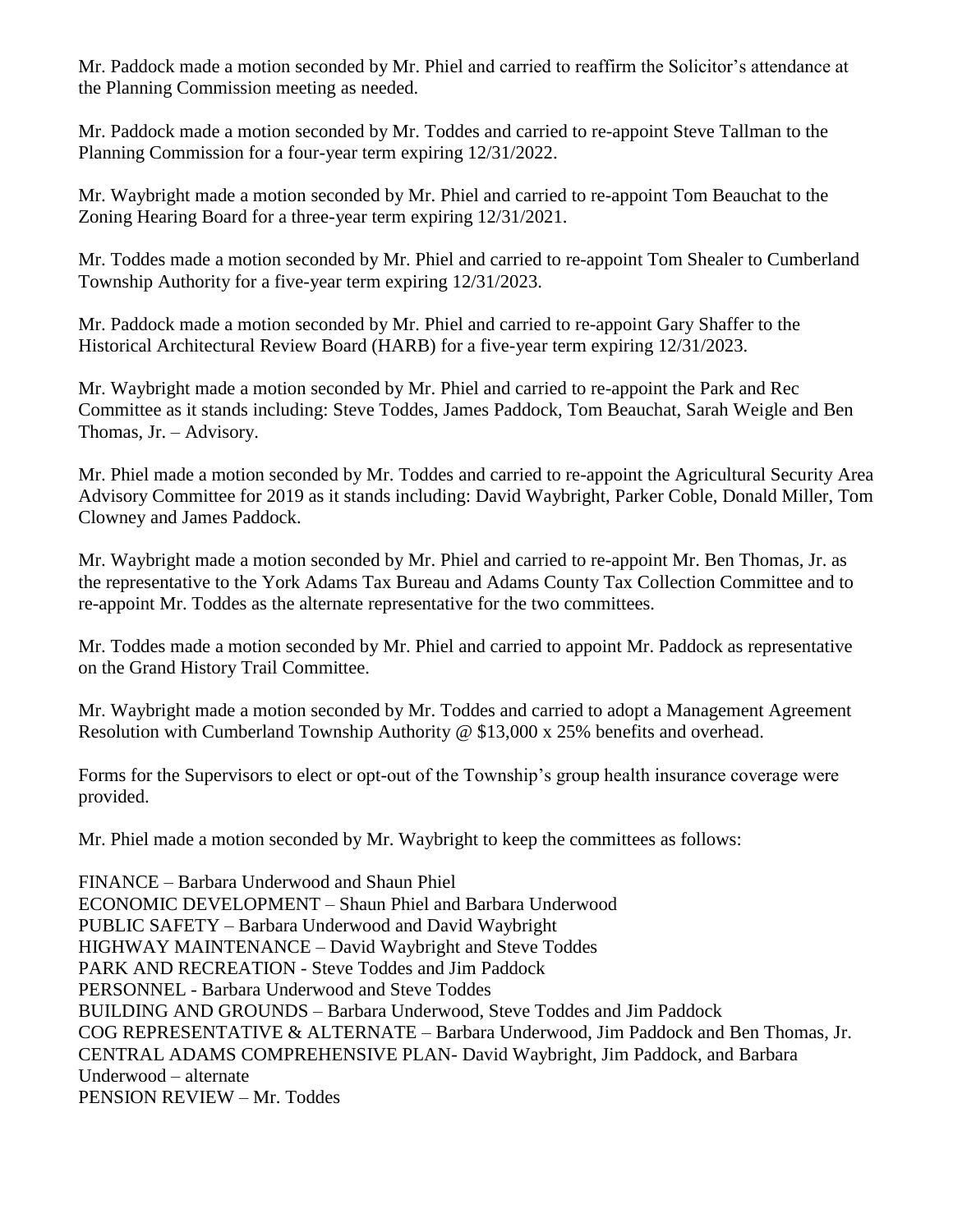Mr. Paddock made a motion seconded by Mr. Phiel and carried to reaffirm the Solicitor's attendance at the Planning Commission meeting as needed.

Mr. Paddock made a motion seconded by Mr. Toddes and carried to re-appoint Steve Tallman to the Planning Commission for a four-year term expiring 12/31/2022.

Mr. Waybright made a motion seconded by Mr. Phiel and carried to re-appoint Tom Beauchat to the Zoning Hearing Board for a three-year term expiring 12/31/2021.

Mr. Toddes made a motion seconded by Mr. Phiel and carried to re-appoint Tom Shealer to Cumberland Township Authority for a five-year term expiring 12/31/2023.

Mr. Paddock made a motion seconded by Mr. Phiel and carried to re-appoint Gary Shaffer to the Historical Architectural Review Board (HARB) for a five-year term expiring 12/31/2023.

Mr. Waybright made a motion seconded by Mr. Phiel and carried to re-appoint the Park and Rec Committee as it stands including: Steve Toddes, James Paddock, Tom Beauchat, Sarah Weigle and Ben Thomas, Jr. – Advisory.

Mr. Phiel made a motion seconded by Mr. Toddes and carried to re-appoint the Agricultural Security Area Advisory Committee for 2019 as it stands including: David Waybright, Parker Coble, Donald Miller, Tom Clowney and James Paddock.

Mr. Waybright made a motion seconded by Mr. Phiel and carried to re-appoint Mr. Ben Thomas, Jr. as the representative to the York Adams Tax Bureau and Adams County Tax Collection Committee and to re-appoint Mr. Toddes as the alternate representative for the two committees.

Mr. Toddes made a motion seconded by Mr. Phiel and carried to appoint Mr. Paddock as representative on the Grand History Trail Committee.

Mr. Waybright made a motion seconded by Mr. Toddes and carried to adopt a Management Agreement Resolution with Cumberland Township Authority @ \$13,000 x 25% benefits and overhead.

Forms for the Supervisors to elect or opt-out of the Township's group health insurance coverage were provided.

Mr. Phiel made a motion seconded by Mr. Waybright to keep the committees as follows:

FINANCE – Barbara Underwood and Shaun Phiel ECONOMIC DEVELOPMENT – Shaun Phiel and Barbara Underwood PUBLIC SAFETY – Barbara Underwood and David Waybright HIGHWAY MAINTENANCE – David Waybright and Steve Toddes PARK AND RECREATION - Steve Toddes and Jim Paddock PERSONNEL - Barbara Underwood and Steve Toddes BUILDING AND GROUNDS – Barbara Underwood, Steve Toddes and Jim Paddock COG REPRESENTATIVE & ALTERNATE – Barbara Underwood, Jim Paddock and Ben Thomas, Jr. CENTRAL ADAMS COMPREHENSIVE PLAN- David Waybright, Jim Paddock, and Barbara Underwood – alternate PENSION REVIEW – Mr. Toddes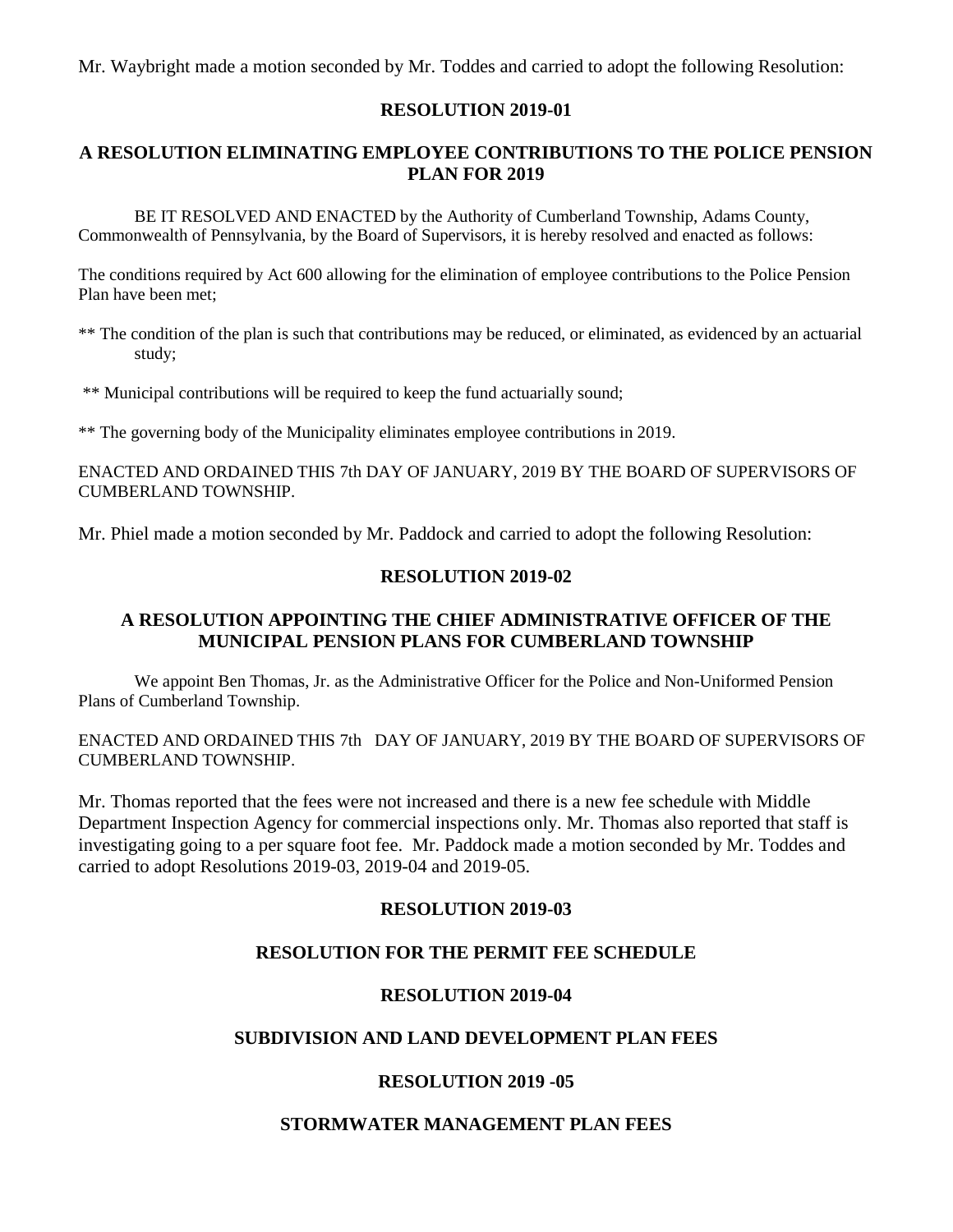Mr. Waybright made a motion seconded by Mr. Toddes and carried to adopt the following Resolution:

#### **RESOLUTION 2019-01**

# **A RESOLUTION ELIMINATING EMPLOYEE CONTRIBUTIONS TO THE POLICE PENSION PLAN FOR 2019**

BE IT RESOLVED AND ENACTED by the Authority of Cumberland Township, Adams County, Commonwealth of Pennsylvania, by the Board of Supervisors, it is hereby resolved and enacted as follows:

The conditions required by Act 600 allowing for the elimination of employee contributions to the Police Pension Plan have been met;

\*\* The condition of the plan is such that contributions may be reduced, or eliminated, as evidenced by an actuarial study;

\*\* Municipal contributions will be required to keep the fund actuarially sound;

\*\* The governing body of the Municipality eliminates employee contributions in 2019.

ENACTED AND ORDAINED THIS 7th DAY OF JANUARY, 2019 BY THE BOARD OF SUPERVISORS OF CUMBERLAND TOWNSHIP.

Mr. Phiel made a motion seconded by Mr. Paddock and carried to adopt the following Resolution:

### **RESOLUTION 2019-02**

### **A RESOLUTION APPOINTING THE CHIEF ADMINISTRATIVE OFFICER OF THE MUNICIPAL PENSION PLANS FOR CUMBERLAND TOWNSHIP**

We appoint Ben Thomas, Jr. as the Administrative Officer for the Police and Non-Uniformed Pension Plans of Cumberland Township.

ENACTED AND ORDAINED THIS 7th DAY OF JANUARY, 2019 BY THE BOARD OF SUPERVISORS OF CUMBERLAND TOWNSHIP.

Mr. Thomas reported that the fees were not increased and there is a new fee schedule with Middle Department Inspection Agency for commercial inspections only. Mr. Thomas also reported that staff is investigating going to a per square foot fee. Mr. Paddock made a motion seconded by Mr. Toddes and carried to adopt Resolutions 2019-03, 2019-04 and 2019-05.

#### **RESOLUTION 2019-03**

# **RESOLUTION FOR THE PERMIT FEE SCHEDULE**

#### **RESOLUTION 2019-04**

### **SUBDIVISION AND LAND DEVELOPMENT PLAN FEES**

# **RESOLUTION 2019 -05**

#### **STORMWATER MANAGEMENT PLAN FEES**